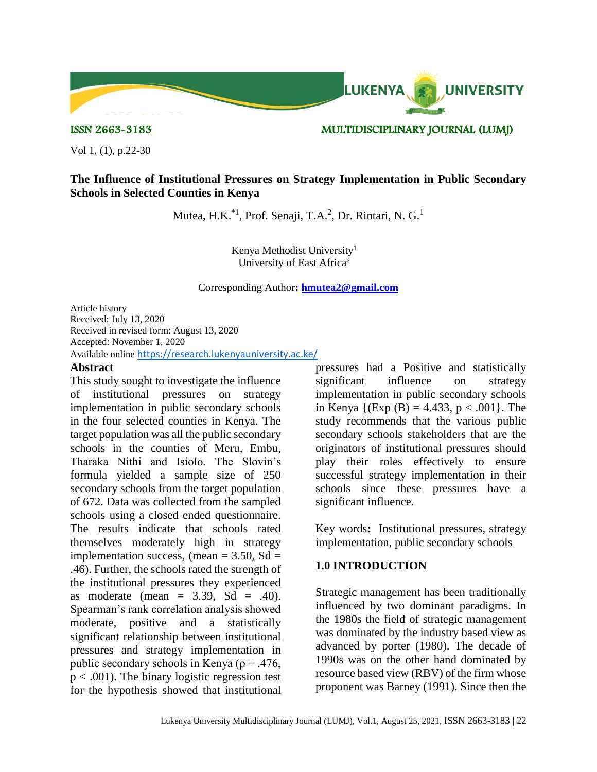

ISSN 2663-3183 MULTIDISCIPLINARY JOURNAL (LUMJ)

Vol 1, (1), p.22-30

## **The Influence of Institutional Pressures on Strategy Implementation in Public Secondary Schools in Selected Counties in Kenya**

Mutea, H.K.<sup>\*1</sup>, Prof. Senaji, T.A.<sup>2</sup>, Dr. Rintari, N. G.<sup>1</sup>

Kenya Methodist University<sup>1</sup> University of East Africa<sup>2</sup>

Corresponding Author**: [hmutea2@gmail.com](mailto:hmutea2@gmail.com)**

Article history Received: July 13, 2020 Received in revised form: August 13, 2020 Accepted: November 1, 2020 Available online <https://research.lukenyauniversity.ac.ke/>

## **Abstract**

This study sought to investigate the influence of institutional pressures on strategy implementation in public secondary schools in the four selected counties in Kenya. The target population was all the public secondary schools in the counties of Meru, Embu, Tharaka Nithi and Isiolo. The Slovin's formula yielded a sample size of 250 secondary schools from the target population of 672. Data was collected from the sampled schools using a closed ended questionnaire. The results indicate that schools rated themselves moderately high in strategy implementation success, (mean =  $3.50$ , Sd = .46). Further, the schools rated the strength of the institutional pressures they experienced as moderate (mean  $= 3.39$ , Sd  $= .40$ ). Spearman's rank correlation analysis showed moderate, positive and a statistically significant relationship between institutional pressures and strategy implementation in public secondary schools in Kenya ( $\rho = .476$ ,  $p < .001$ ). The binary logistic regression test for the hypothesis showed that institutional

pressures had a Positive and statistically significant influence on strategy implementation in public secondary schools in Kenya  $\{(\text{Exp}(B) = 4.433, p < .001\})$ . The study recommends that the various public secondary schools stakeholders that are the originators of institutional pressures should play their roles effectively to ensure successful strategy implementation in their schools since these pressures have a significant influence.

Key words**:** Institutional pressures, strategy implementation, public secondary schools

## **1.0 INTRODUCTION**

Strategic management has been traditionally influenced by two dominant paradigms. In the 1980s the field of strategic management was dominated by the industry based view as advanced by porter (1980). The decade of 1990s was on the other hand dominated by resource based view (RBV) of the firm whose proponent was Barney (1991). Since then the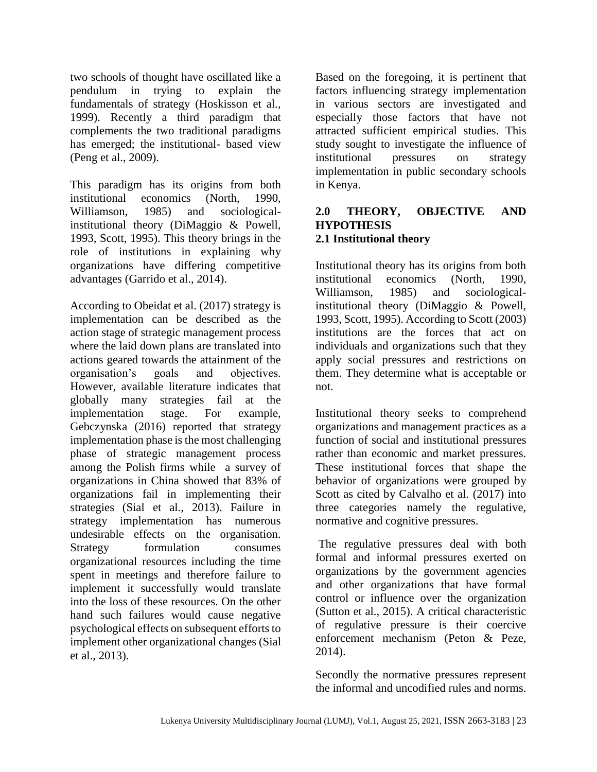two schools of thought have oscillated like a pendulum in trying to explain the fundamentals of strategy (Hoskisson et al., 1999). Recently a third paradigm that complements the two traditional paradigms has emerged; the institutional- based view (Peng et al., 2009).

This paradigm has its origins from both institutional economics (North, 1990, Williamson, 1985) and sociologicalinstitutional theory (DiMaggio & Powell, 1993, Scott, 1995). This theory brings in the role of institutions in explaining why organizations have differing competitive advantages (Garrido et al., 2014).

According to Obeidat et al. (2017) strategy is implementation can be described as the action stage of strategic management process where the laid down plans are translated into actions geared towards the attainment of the organisation's goals and objectives. However, available literature indicates that globally many strategies fail at the implementation stage. For example, Gebczynska (2016) reported that strategy implementation phase is the most challenging phase of strategic management process among the Polish firms while a survey of organizations in China showed that 83% of organizations fail in implementing their strategies (Sial et al., 2013). Failure in strategy implementation has numerous undesirable effects on the organisation. Strategy formulation consumes organizational resources including the time spent in meetings and therefore failure to implement it successfully would translate into the loss of these resources. On the other hand such failures would cause negative psychological effects on subsequent efforts to implement other organizational changes (Sial et al., 2013).

Based on the foregoing, it is pertinent that factors influencing strategy implementation in various sectors are investigated and especially those factors that have not attracted sufficient empirical studies. This study sought to investigate the influence of institutional pressures on strategy implementation in public secondary schools in Kenya.

## **2.0 THEORY, OBJECTIVE AND HYPOTHESIS 2.1 Institutional theory**

Institutional theory has its origins from both institutional economics (North, 1990, Williamson, 1985) and sociologicalinstitutional theory (DiMaggio & Powell, 1993, Scott, 1995). According to Scott (2003) institutions are the forces that act on individuals and organizations such that they apply social pressures and restrictions on them. They determine what is acceptable or not.

Institutional theory seeks to comprehend organizations and management practices as a function of social and institutional pressures rather than economic and market pressures. These institutional forces that shape the behavior of organizations were grouped by Scott as cited by Calvalho et al. (2017) into three categories namely the regulative, normative and cognitive pressures.

The regulative pressures deal with both formal and informal pressures exerted on organizations by the government agencies and other organizations that have formal control or influence over the organization (Sutton et al., 2015). A critical characteristic of regulative pressure is their coercive enforcement mechanism (Peton & Peze, 2014).

Secondly the normative pressures represent the informal and uncodified rules and norms.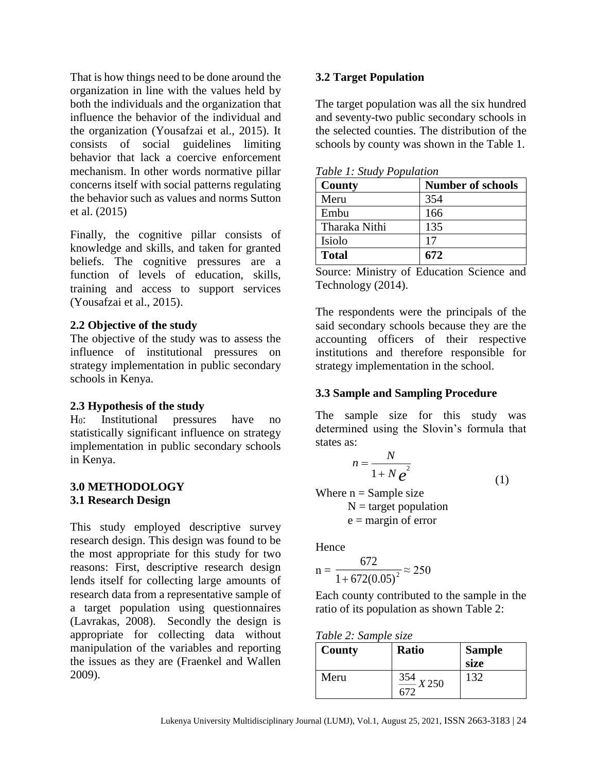That is how things need to be done around the organization in line with the values held by both the individuals and the organization that influence the behavior of the individual and the organization (Yousafzai et al., 2015). It consists of social guidelines limiting behavior that lack a coercive enforcement mechanism. In other words normative pillar concerns itself with social patterns regulating the behavior such as values and norms Sutton et al. (2015)

Finally, the cognitive pillar consists of knowledge and skills, and taken for granted beliefs. The cognitive pressures are a function of levels of education, skills, training and access to support services (Yousafzai et al., 2015).

## **2.2 Objective of the study**

The objective of the study was to assess the influence of institutional pressures on strategy implementation in public secondary schools in Kenya.

## **2.3 Hypothesis of the study**

H0: Institutional pressures have no statistically significant influence on strategy implementation in public secondary schools in Kenya.

## **3.0 METHODOLOGY 3.1 Research Design**

This study employed descriptive survey research design. This design was found to be the most appropriate for this study for two reasons: First, descriptive research design lends itself for collecting large amounts of research data from a representative sample of a target population using questionnaires (Lavrakas, 2008). Secondly the design is appropriate for collecting data without manipulation of the variables and reporting the issues as they are (Fraenkel and Wallen 2009).

## **3.2 Target Population**

The target population was all the six hundred and seventy-two public secondary schools in the selected counties. The distribution of the schools by county was shown in the Table 1.

| Table 1: Study Population |  |
|---------------------------|--|
|---------------------------|--|

| County        | <b>Number of schools</b> |
|---------------|--------------------------|
| Meru          | 354                      |
| Embu          | 166                      |
| Tharaka Nithi | 135                      |
| Isiolo        | 17                       |
| <b>Total</b>  | 672                      |

Source: Ministry of Education Science and Technology (2014).

The respondents were the principals of the said secondary schools because they are the accounting officers of their respective institutions and therefore responsible for strategy implementation in the school.

## **3.3 Sample and Sampling Procedure**

The sample size for this study was determined using the Slovin's formula that states as:

$$
n = \frac{N}{1 + N e^2}
$$
 (1)

Where  $n =$  Sample size

 $N =$  target population  $e =$  margin of error

Hence

$$
n = \frac{672}{1 + 672(0.05)^2} \approx 250
$$

Each county contributed to the sample in the ratio of its population as shown Table 2:

| Table 2: Sample size |  |  |  |  |
|----------------------|--|--|--|--|
|----------------------|--|--|--|--|

| County | <b>Ratio</b>                 | <b>Sample</b><br>size |
|--------|------------------------------|-----------------------|
| Meru   | 354<br>$\frac{354}{1}$ X 250 | 132                   |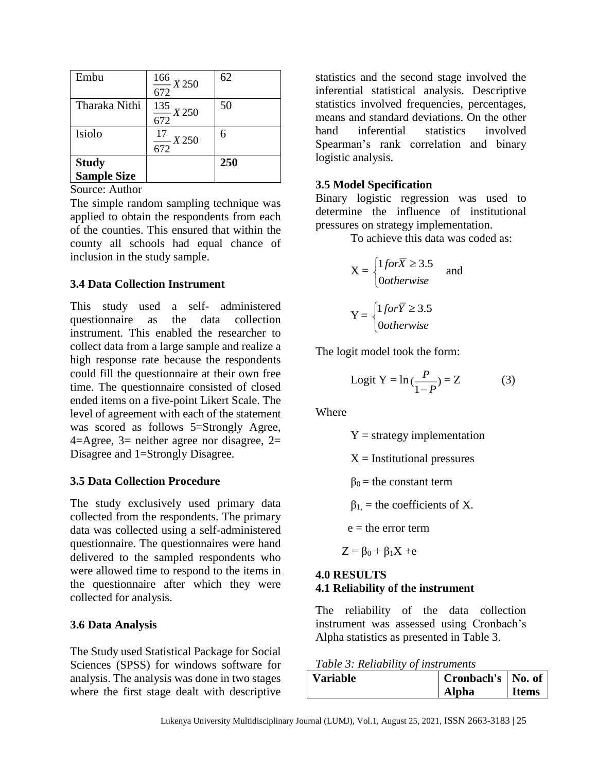| Embu               | $\frac{166}{1}$ X 250<br>672 | 62  |
|--------------------|------------------------------|-----|
| Tharaka Nithi      | $\frac{135}{1}$ X 250<br>672 | 50  |
| Isiolo             | $\frac{17}{1}$ X 250<br>672  | 6   |
| <b>Study</b>       |                              | 250 |
| <b>Sample Size</b> |                              |     |

Source: Author

The simple random sampling technique was applied to obtain the respondents from each of the counties. This ensured that within the county all schools had equal chance of inclusion in the study sample.

# **3.4 Data Collection Instrument**

This study used a self- administered questionnaire as the data collection instrument. This enabled the researcher to collect data from a large sample and realize a high response rate because the respondents could fill the questionnaire at their own free time. The questionnaire consisted of closed ended items on a five-point Likert Scale. The level of agreement with each of the statement was scored as follows 5=Strongly Agree,  $4=$ Agree,  $3=$  neither agree nor disagree,  $2=$ Disagree and 1=Strongly Disagree.

## **3.5 Data Collection Procedure**

The study exclusively used primary data collected from the respondents. The primary data was collected using a self-administered questionnaire. The questionnaires were hand delivered to the sampled respondents who were allowed time to respond to the items in the questionnaire after which they were collected for analysis.

## **3.6 Data Analysis**

The Study used Statistical Package for Social Sciences (SPSS) for windows software for analysis. The analysis was done in two stages where the first stage dealt with descriptive statistics and the second stage involved the inferential statistical analysis. Descriptive statistics involved frequencies, percentages, means and standard deviations. On the other hand inferential statistics involved Spearman's rank correlation and binary logistic analysis.

# **3.5 Model Specification**

Binary logistic regression was used to determine the influence of institutional pressures on strategy implementation.

To achieve this data was coded as:

$$
X = \begin{cases} 1 \text{ for } \overline{X} \ge 3.5 \\ \text{0} \text{ otherwise} \end{cases} \text{ and }
$$

$$
Y = \begin{cases} 1 \text{ for } \overline{Y} \ge 3.5 \\ \text{0} \text{ otherwise} \end{cases}
$$

The logit model took the form:

$$
Logit Y = ln(\frac{P}{1 - P}) = Z
$$
 (3)

Where

 $Y =$  strategy implementation

 $X =$  Institutional pressures

 $β<sub>0</sub>$  = the constant term

 $β<sub>1</sub>$  = the coefficients of X.

 $e =$  the error term

 $Z = \beta_0 + \beta_1 X + e$ 

# **4.0 RESULTS 4.1 Reliability of the instrument**

The reliability of the data collection instrument was assessed using Cronbach's Alpha statistics as presented in Table 3.

|  |  | Table 3: Reliability of instruments |
|--|--|-------------------------------------|
|--|--|-------------------------------------|

| <b>Variable</b> | Cronbach's   No. of |              |
|-----------------|---------------------|--------------|
|                 | <b>Alpha</b>        | <b>Items</b> |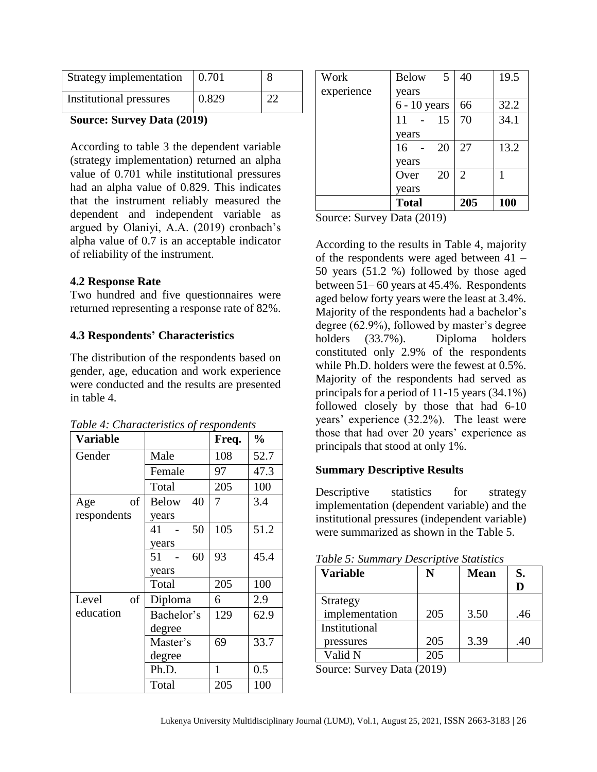| Strategy implementation | 0.701 |  |
|-------------------------|-------|--|
| Institutional pressures | 0.829 |  |

#### **Source: Survey Data (2019)**

According to table 3 the dependent variable (strategy implementation) returned an alpha value of 0.701 while institutional pressures had an alpha value of 0.829. This indicates that the instrument reliably measured the dependent and independent variable as argued by Olaniyi, A.A. (2019) cronbach's alpha value of 0.7 is an acceptable indicator of reliability of the instrument.

## **4.2 Response Rate**

Two hundred and five questionnaires were returned representing a response rate of 82%.

## **4.3 Respondents' Characteristics**

The distribution of the respondents based on gender, age, education and work experience were conducted and the results are presented in table 4.

| Variable    |                    | Freq.        | $\%$ |
|-------------|--------------------|--------------|------|
| Gender      | Male               | 108          | 52.7 |
|             | Female             | 97           | 47.3 |
|             | Total              | 205          | 100  |
| of<br>Age   | 40<br><b>Below</b> | 7            | 3.4  |
| respondents | years              |              |      |
|             | 50<br>41           | 105          | 51.2 |
|             | years              |              |      |
|             | 51<br>60           | 93           | 45.4 |
|             | years              |              |      |
|             | Total              | 205          | 100  |
| Level<br>of | Diploma            | 6            | 2.9  |
| education   | Bachelor's         | 129          | 62.9 |
|             | degree             |              |      |
|             | Master's           | 69           | 33.7 |
|             | degree             |              |      |
|             | Ph.D.              | $\mathbf{1}$ | 0.5  |
|             | Total              | 205          | 100  |

*Table 4: Characteristics of respondents*

| Work       | <b>Below</b><br>5 | 40  | 19.5       |
|------------|-------------------|-----|------------|
| experience | years             |     |            |
|            | $6 - 10$ years    | 66  | 32.2       |
|            | 15<br>11          | 70  | 34.1       |
|            | years             |     |            |
|            | 16<br>20          | 27  | 13.2       |
|            | years             |     |            |
|            | 20<br>Over        | 2   |            |
|            | years             |     |            |
|            | <b>Total</b>      | 205 | <b>100</b> |

Source: Survey Data (2019)

According to the results in Table 4, majority of the respondents were aged between 41 – 50 years (51.2 %) followed by those aged between 51– 60 years at 45.4%. Respondents aged below forty years were the least at 3.4%. Majority of the respondents had a bachelor's degree (62.9%), followed by master's degree holders (33.7%). Diploma holders constituted only 2.9% of the respondents while Ph.D. holders were the fewest at 0.5%. Majority of the respondents had served as principals for a period of 11-15 years (34.1%) followed closely by those that had 6-10 years' experience (32.2%). The least were those that had over 20 years' experience as principals that stood at only 1%.

## **Summary Descriptive Results**

Descriptive statistics for strategy implementation (dependent variable) and the institutional pressures (independent variable) were summarized as shown in the Table 5.

| Table 5: Summary Descriptive Statistics |  |  |
|-----------------------------------------|--|--|
|                                         |  |  |

| <b>Variable</b> |     | <b>Mean</b> | S.  |
|-----------------|-----|-------------|-----|
|                 |     |             |     |
| Strategy        |     |             |     |
| implementation  | 205 | 3.50        | .46 |
| Institutional   |     |             |     |
| pressures       | 205 | 3.39        | .40 |
| Valid N         | 205 |             |     |

Source: Survey Data (2019)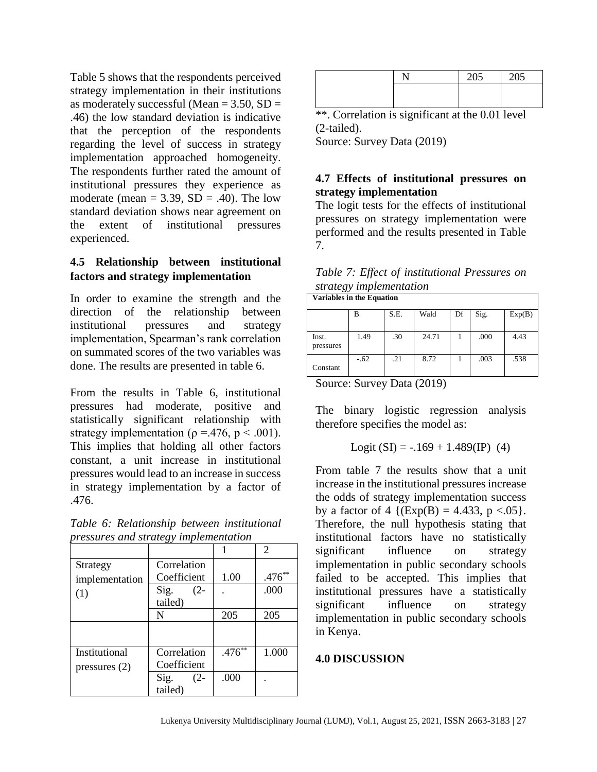Table 5 shows that the respondents perceived strategy implementation in their institutions as moderately successful (Mean  $= 3.50$ , SD  $=$ .46) the low standard deviation is indicative that the perception of the respondents regarding the level of success in strategy implementation approached homogeneity. The respondents further rated the amount of institutional pressures they experience as moderate (mean  $= 3.39$ , SD  $= .40$ ). The low standard deviation shows near agreement on the extent of institutional pressures experienced.

# **4.5 Relationship between institutional factors and strategy implementation**

In order to examine the strength and the direction of the relationship between institutional pressures and strategy implementation, Spearman's rank correlation on summated scores of the two variables was done. The results are presented in table 6.

From the results in Table 6, institutional pressures had moderate, positive and statistically significant relationship with strategy implementation ( $\rho = .476$ ,  $p < .001$ ). This implies that holding all other factors constant, a unit increase in institutional pressures would lead to an increase in success in strategy implementation by a factor of .476.

*Table 6: Relationship between institutional pressures and strategy implementation*

|                 |                |          | $\mathcal{D}_{\mathcal{L}}$ |
|-----------------|----------------|----------|-----------------------------|
| Strategy        | Correlation    |          |                             |
| implementation  | Coefficient    | 1.00     | $.476**$                    |
| (1)             | Sig.<br>$(2 -$ |          | .000                        |
|                 | tailed)        |          |                             |
|                 | N              | 205      | 205                         |
|                 |                |          |                             |
| Institutional   | Correlation    | $.476**$ | 1.000                       |
| pressures $(2)$ | Coefficient    |          |                             |
|                 | Sig.<br>$(2 -$ | .000     |                             |
|                 | tailed)        |          |                             |

|  | $\sim$ $\sim$ $\sim$ | $\sim$ |
|--|----------------------|--------|
|  |                      |        |
|  |                      |        |

\*\*. Correlation is significant at the 0.01 level (2-tailed).

Source: Survey Data (2019)

# **4.7 Effects of institutional pressures on strategy implementation**

The logit tests for the effects of institutional pressures on strategy implementation were performed and the results presented in Table 7.

| Table 7: Effect of institutional Pressures on |  |
|-----------------------------------------------|--|
| strategy implementation                       |  |
| Variables in the Equation                     |  |

|           | В      | S.E. | Wald  | Df | Sig. | Exp(B) |  |  |
|-----------|--------|------|-------|----|------|--------|--|--|
|           |        |      |       |    |      |        |  |  |
| Inst.     | 1.49   | .30  | 24.71 |    | .000 | 4.43   |  |  |
| pressures |        |      |       |    |      |        |  |  |
|           | $-.62$ | .21  | 8.72  |    | .003 | .538   |  |  |
| Constant  |        |      |       |    |      |        |  |  |

Source: Survey Data (2019)

The binary logistic regression analysis therefore specifies the model as:

Logit  $(SI) = -.169 + 1.489$  (IP) (4)

From table 7 the results show that a unit increase in the institutional pressures increase the odds of strategy implementation success by a factor of 4  $\{(\text{Exp}(B) = 4.433, p < 0.05\}.$ Therefore, the null hypothesis stating that institutional factors have no statistically significant influence on strategy implementation in public secondary schools failed to be accepted. This implies that institutional pressures have a statistically significant influence on strategy implementation in public secondary schools in Kenya.

## **4.0 DISCUSSION**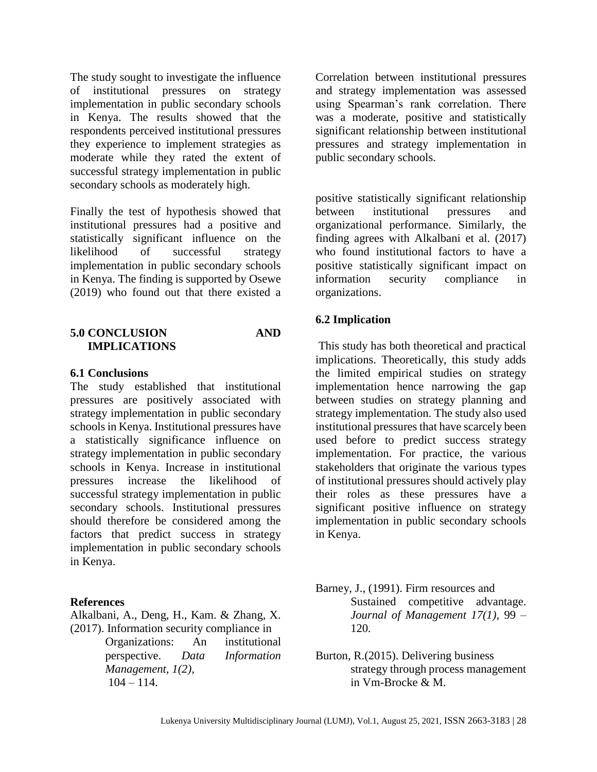The study sought to investigate the influence of institutional pressures on strategy implementation in public secondary schools in Kenya. The results showed that the respondents perceived institutional pressures they experience to implement strategies as moderate while they rated the extent of successful strategy implementation in public secondary schools as moderately high.

Finally the test of hypothesis showed that institutional pressures had a positive and statistically significant influence on the likelihood of successful strategy implementation in public secondary schools in Kenya. The finding is supported by Osewe (2019) who found out that there existed a

#### **5.0 CONCLUSION AND IMPLICATIONS**

#### **6.1 Conclusions**

The study established that institutional pressures are positively associated with strategy implementation in public secondary schools in Kenya. Institutional pressures have a statistically significance influence on strategy implementation in public secondary schools in Kenya. Increase in institutional pressures increase the likelihood of successful strategy implementation in public secondary schools. Institutional pressures should therefore be considered among the factors that predict success in strategy implementation in public secondary schools in Kenya.

#### **References**

Alkalbani, A., Deng, H., Kam. & Zhang, X. (2017). Information security compliance in

> Organizations: An institutional perspective. *Data Information Management, 1(2),*  $104 - 114.$

Correlation between institutional pressures and strategy implementation was assessed using Spearman's rank correlation. There was a moderate, positive and statistically significant relationship between institutional pressures and strategy implementation in public secondary schools.

positive statistically significant relationship between institutional pressures and organizational performance. Similarly, the finding agrees with Alkalbani et al. (2017) who found institutional factors to have a positive statistically significant impact on information security compliance in organizations.

#### **6.2 Implication**

This study has both theoretical and practical implications. Theoretically, this study adds the limited empirical studies on strategy implementation hence narrowing the gap between studies on strategy planning and strategy implementation. The study also used institutional pressures that have scarcely been used before to predict success strategy implementation. For practice, the various stakeholders that originate the various types of institutional pressures should actively play their roles as these pressures have a significant positive influence on strategy implementation in public secondary schools in Kenya.

Barney, J., (1991). Firm resources and Sustained competitive advantage. *Journal of Management 17(1),* 99 – 120*.*

Burton, R.(2015). Delivering business strategy through process management in Vm-Brocke & M.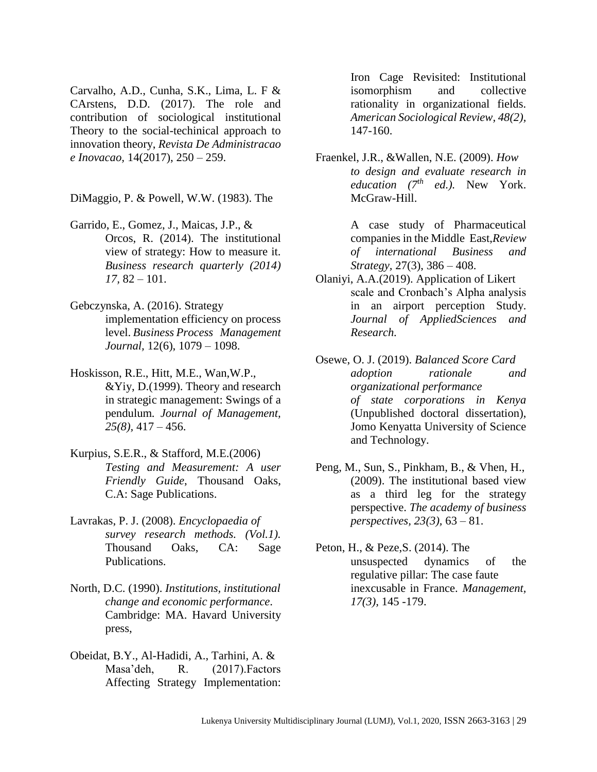Carvalho, A.D., Cunha, S.K., Lima, L. F & CArstens, D.D. (2017). The role and contribution of sociological institutional Theory to the social-techinical approach to innovation theory, *Revista De Administracao e Inovacao,* 14(2017), 250 – 259.

DiMaggio, P. & Powell, W.W. (1983). The

- Garrido, E., Gomez, J., Maicas, J.P., & Orcos, R. (2014). The institutional view of strategy: How to measure it. *Business research quarterly (2014) 17,* 82 – 101.
- Gebczynska, A. (2016). Strategy implementation efficiency on process level. *Business Process Management Journal,* 12(6), 1079 – 1098.
- Hoskisson, R.E., Hitt, M.E., Wan,W.P., &Yiy, D.(1999). Theory and research in strategic management: Swings of a pendulum*. Journal of Management, 25(8),* 417 – 456.
- Kurpius, S.E.R., & Stafford, M.E.(2006) *Testing and Measurement: A user Friendly Guide*, Thousand Oaks, C.A: Sage Publications.
- Lavrakas, P. J. (2008). *Encyclopaedia of survey research methods. (Vol.1).* Thousand Oaks, CA: Sage Publications.
- North, D.C. (1990). *Institutions, institutional change and economic performance*. Cambridge: MA. Havard University press,
- Obeidat, B.Y., Al-Hadidi, A., Tarhini, A. & Masa'deh, R. (2017).Factors Affecting Strategy Implementation:

Iron Cage Revisited: Institutional isomorphism and collective rationality in organizational fields. *American Sociological Review, 48(2),* 147-160.

Fraenkel, J.R., &Wallen, N.E. (2009). *How to design and evaluate research in education (7th ed.).* New York. McGraw-Hill.

> A case study of Pharmaceutical companies in the Middle East,*Review of international Business and Strategy,* 27(3), 386 – 408.

- Olaniyi, A.A.(2019). Application of Likert scale and Cronbach's Alpha analysis in an airport perception Study. *Journal of AppliedSciences and Research.*
- Osewe, O. J. (2019). *Balanced Score Card adoption rationale and organizational performance of state corporations in Kenya* (Unpublished doctoral dissertation), Jomo Kenyatta University of Science and Technology.
- Peng, M., Sun, S., Pinkham, B., & Vhen, H., (2009). The institutional based view as a third leg for the strategy perspective. *The academy of business perspectives, 23(3),* 63 – 81.
- Peton, H., & Peze,S. (2014). The unsuspected dynamics of the regulative pillar: The case faute inexcusable in France. *Management, 17(3),* 145 -179.